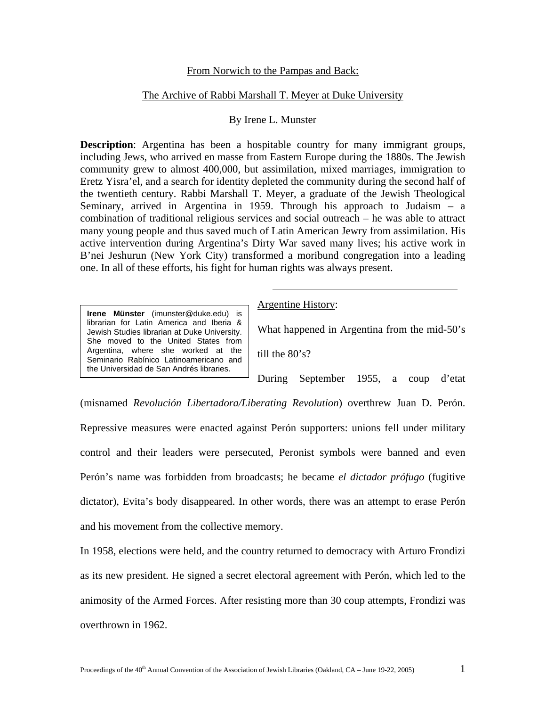# From Norwich to the Pampas and Back:

# The Archive of Rabbi Marshall T. Meyer at Duke University

## By Irene L. Munster

**Description**: Argentina has been a hospitable country for many immigrant groups, including Jews, who arrived en masse from Eastern Europe during the 1880s. The Jewish community grew to almost 400,000, but assimilation, mixed marriages, immigration to Eretz Yisra'el, and a search for identity depleted the community during the second half of the twentieth century. Rabbi Marshall T. Meyer, a graduate of the Jewish Theological Seminary, arrived in Argentina in 1959. Through his approach to Judaism – a combination of traditional religious services and social outreach – he was able to attract many young people and thus saved much of Latin American Jewry from assimilation. His active intervention during Argentina's Dirty War saved many lives; his active work in B'nei Jeshurun (New York City) transformed a moribund congregation into a leading one. In all of these efforts, his fight for human rights was always present.

**Irene Münster** [\(imunster@duke.edu\)](mailto:imunster@duke.edu) is librarian for Latin America and Iberia & Jewish Studies librarian at Duke University. She moved to the United States from Argentina, where she worked at the Seminario Rabínico Latinoamericano and the Universidad de San Andrés libraries.

Argentine History:

What happened in Argentina from the mid-50's

till the 80's?

During September 1955, a coup d'etat

(misnamed *Revolución Libertadora/Liberating Revolution*) overthrew Juan D. Perón. Repressive measures were enacted against Perón supporters: unions fell under military control and their leaders were persecuted, Peronist symbols were banned and even Perón's name was forbidden from broadcasts; he became *el dictador prófugo* (fugitive dictator), Evita's body disappeared. In other words, there was an attempt to erase Perón and his movement from the collective memory.

In 1958, elections were held, and the country returned to democracy with Arturo Frondizi as its new president. He signed a secret electoral agreement with Perón, which led to the animosity of the Armed Forces. After resisting more than 30 coup attempts, Frondizi was overthrown in 1962.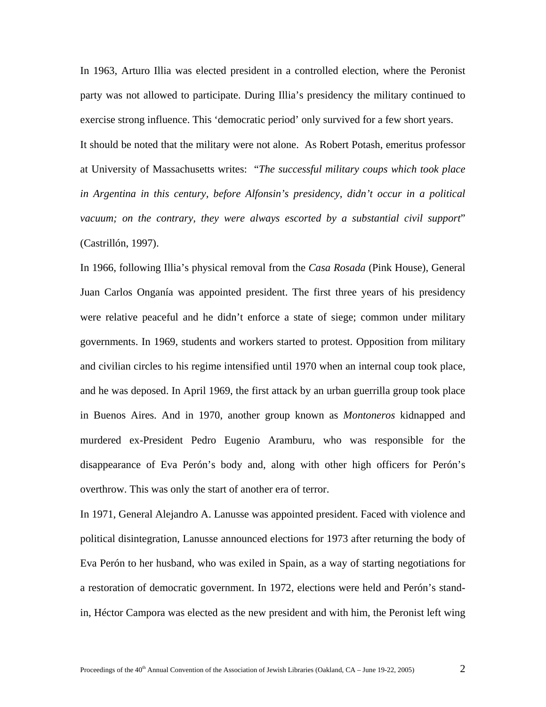In 1963, Arturo Illia was elected president in a controlled election, where the Peronist party was not allowed to participate. During Illia's presidency the military continued to exercise strong influence. This 'democratic period' only survived for a few short years.

It should be noted that the military were not alone. As Robert Potash, emeritus professor at University of Massachusetts writes: "*The successful military coups which took place in Argentina in this century, before Alfonsin's presidency, didn't occur in a political vacuum; on the contrary, they were always escorted by a substantial civil support*" (Castrillón, 1997).

In 1966, following Illia's physical removal from the *Casa Rosada* (Pink House), General Juan Carlos Onganía was appointed president. The first three years of his presidency were relative peaceful and he didn't enforce a state of siege; common under military governments. In 1969, students and workers started to protest. Opposition from military and civilian circles to his regime intensified until 1970 when an internal coup took place, and he was deposed. In April 1969, the first attack by an urban guerrilla group took place in Buenos Aires. And in 1970, another group known as *Montoneros* kidnapped and murdered ex-President Pedro Eugenio Aramburu, who was responsible for the disappearance of Eva Perón's body and, along with other high officers for Perón's overthrow. This was only the start of another era of terror.

In 1971, General Alejandro A. Lanusse was appointed president. Faced with violence and political disintegration, Lanusse announced elections for 1973 after returning the body of Eva Perón to her husband, who was exiled in Spain, as a way of starting negotiations for a restoration of democratic government. In 1972, elections were held and Perón's standin, Héctor Campora was elected as the new president and with him, the Peronist left wing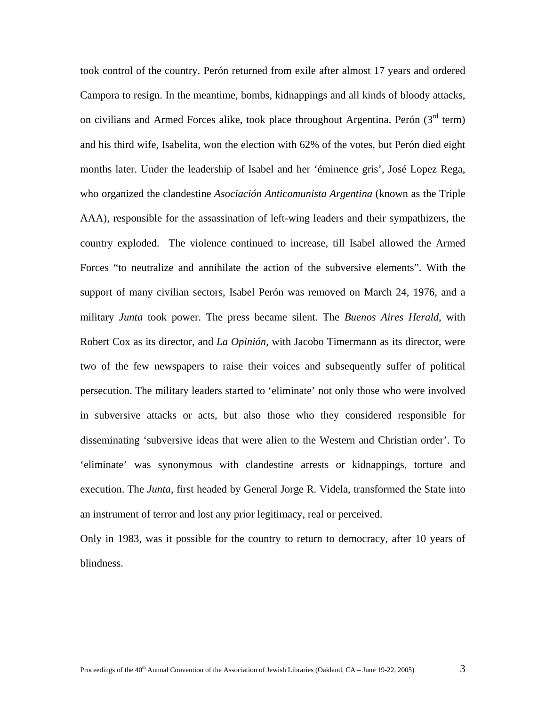took control of the country. Perón returned from exile after almost 17 years and ordered Campora to resign. In the meantime, bombs, kidnappings and all kinds of bloody attacks, on civilians and Armed Forces alike, took place throughout Argentina. Perón  $(3<sup>rd</sup>$  term) and his third wife, Isabelita, won the election with 62% of the votes, but Perón died eight months later. Under the leadership of Isabel and her 'éminence gris', José Lopez Rega, who organized the clandestine *Asociación Anticomunista Argentina* (known as the Triple AAA), responsible for the assassination of left-wing leaders and their sympathizers, the country exploded. The violence continued to increase, till Isabel allowed the Armed Forces "to neutralize and annihilate the action of the subversive elements". With the support of many civilian sectors, Isabel Perón was removed on March 24, 1976, and a military *Junta* took power. The press became silent. The *Buenos Aires Herald*, with Robert Cox as its director, and *La Opinión,* with Jacobo Timermann as its director, were two of the few newspapers to raise their voices and subsequently suffer of political persecution. The military leaders started to 'eliminate' not only those who were involved in subversive attacks or acts, but also those who they considered responsible for disseminating 'subversive ideas that were alien to the Western and Christian order'. To 'eliminate' was synonymous with clandestine arrests or kidnappings, torture and execution. The *Junta*, first headed by General Jorge R. Videla, transformed the State into an instrument of terror and lost any prior legitimacy, real or perceived.

Only in 1983, was it possible for the country to return to democracy, after 10 years of blindness.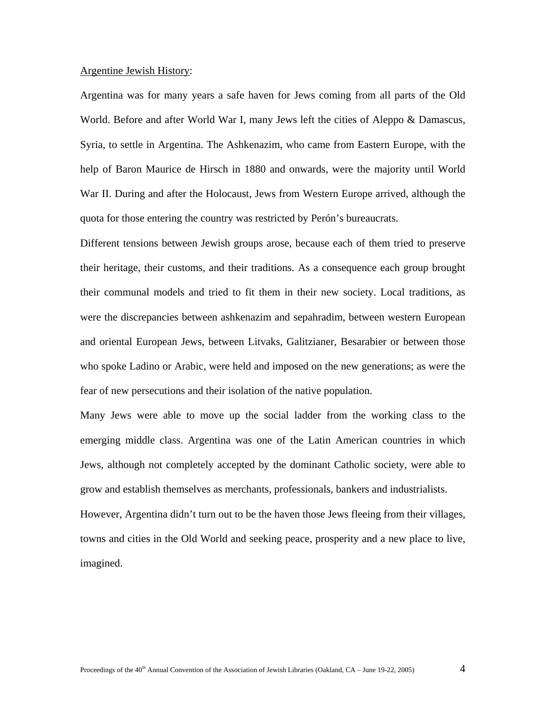### Argentine Jewish History:

Argentina was for many years a safe haven for Jews coming from all parts of the Old World. Before and after World War I, many Jews left the cities of Aleppo & Damascus, Syria, to settle in Argentina. The Ashkenazim, who came from Eastern Europe, with the help of Baron Maurice de Hirsch in 1880 and onwards, were the majority until World War II. During and after the Holocaust, Jews from Western Europe arrived, although the quota for those entering the country was restricted by Perón's bureaucrats.

Different tensions between Jewish groups arose, because each of them tried to preserve their heritage, their customs, and their traditions. As a consequence each group brought their communal models and tried to fit them in their new society. Local traditions, as were the discrepancies between ashkenazim and sepahradim, between western European and oriental European Jews, between Litvaks, Galitzianer, Besarabier or between those who spoke Ladino or Arabic, were held and imposed on the new generations; as were the fear of new persecutions and their isolation of the native population.

Many Jews were able to move up the social ladder from the working class to the emerging middle class. Argentina was one of the Latin American countries in which Jews, although not completely accepted by the dominant Catholic society, were able to grow and establish themselves as merchants, professionals, bankers and industrialists.

However, Argentina didn't turn out to be the haven those Jews fleeing from their villages, towns and cities in the Old World and seeking peace, prosperity and a new place to live, imagined.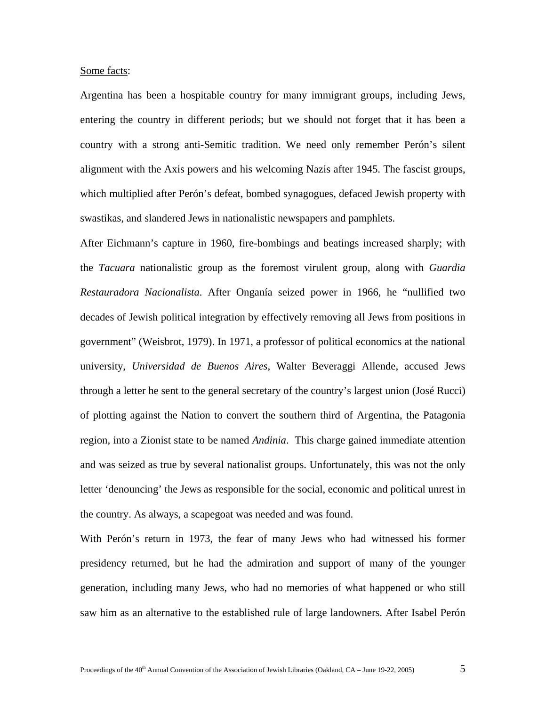### Some facts:

Argentina has been a hospitable country for many immigrant groups, including Jews, entering the country in different periods; but we should not forget that it has been a country with a strong anti-Semitic tradition. We need only remember Perón's silent alignment with the Axis powers and his welcoming Nazis after 1945. The fascist groups, which multiplied after Perón's defeat, bombed synagogues, defaced Jewish property with swastikas, and slandered Jews in nationalistic newspapers and pamphlets.

After Eichmann's capture in 1960, fire-bombings and beatings increased sharply; with the *Tacuara* nationalistic group as the foremost virulent group, along with *Guardia Restauradora Nacionalista*. After Onganía seized power in 1966, he "nullified two decades of Jewish political integration by effectively removing all Jews from positions in government" (Weisbrot, 1979). In 1971, a professor of political economics at the national university, *Universidad de Buenos Aires*, Walter Beveraggi Allende, accused Jews through a letter he sent to the general secretary of the country's largest union (José Rucci) of plotting against the Nation to convert the southern third of Argentina, the Patagonia region, into a Zionist state to be named *Andinia*. This charge gained immediate attention and was seized as true by several nationalist groups. Unfortunately, this was not the only letter 'denouncing' the Jews as responsible for the social, economic and political unrest in the country. As always, a scapegoat was needed and was found.

With Perón's return in 1973, the fear of many Jews who had witnessed his former presidency returned, but he had the admiration and support of many of the younger generation, including many Jews, who had no memories of what happened or who still saw him as an alternative to the established rule of large landowners. After Isabel Perón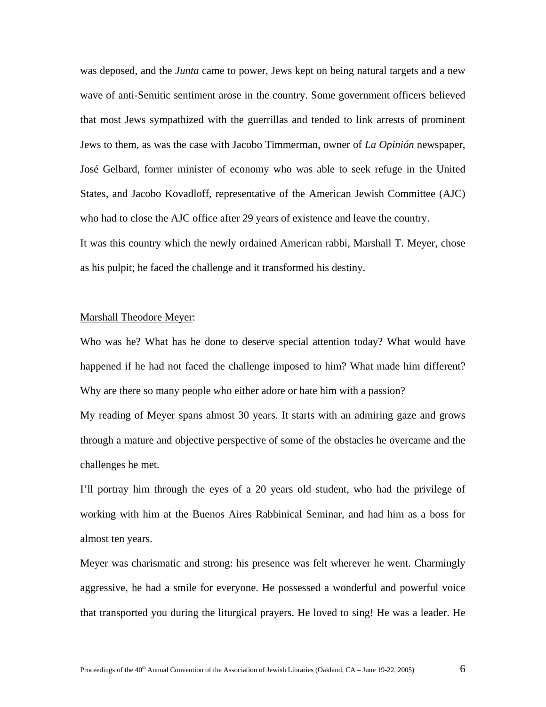was deposed, and the *Junta* came to power, Jews kept on being natural targets and a new wave of anti-Semitic sentiment arose in the country. Some government officers believed that most Jews sympathized with the guerrillas and tended to link arrests of prominent Jews to them, as was the case with Jacobo Timmerman, owner of *La Opinión* newspaper, José Gelbard, former minister of economy who was able to seek refuge in the United States, and Jacobo Kovadloff, representative of the American Jewish Committee (AJC) who had to close the AJC office after 29 years of existence and leave the country. It was this country which the newly ordained American rabbi, Marshall T. Meyer, chose as his pulpit; he faced the challenge and it transformed his destiny.

### Marshall Theodore Meyer:

Who was he? What has he done to deserve special attention today? What would have happened if he had not faced the challenge imposed to him? What made him different? Why are there so many people who either adore or hate him with a passion?

My reading of Meyer spans almost 30 years. It starts with an admiring gaze and grows through a mature and objective perspective of some of the obstacles he overcame and the challenges he met.

I'll portray him through the eyes of a 20 years old student, who had the privilege of working with him at the Buenos Aires Rabbinical Seminar, and had him as a boss for almost ten years.

Meyer was charismatic and strong: his presence was felt wherever he went. Charmingly aggressive, he had a smile for everyone. He possessed a wonderful and powerful voice that transported you during the liturgical prayers. He loved to sing! He was a leader. He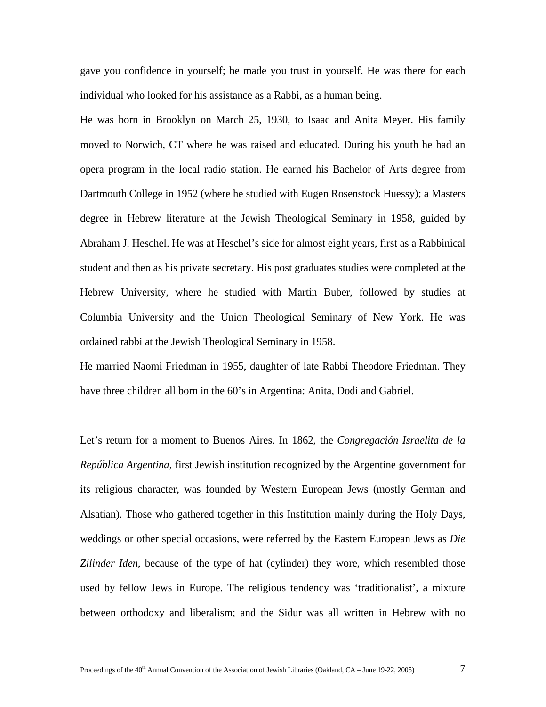gave you confidence in yourself; he made you trust in yourself. He was there for each individual who looked for his assistance as a Rabbi, as a human being.

He was born in Brooklyn on March 25, 1930, to Isaac and Anita Meyer. His family moved to Norwich, CT where he was raised and educated. During his youth he had an opera program in the local radio station. He earned his Bachelor of Arts degree from Dartmouth College in 1952 (where he studied with Eugen Rosenstock Huessy); a Masters degree in Hebrew literature at the Jewish Theological Seminary in 1958, guided by Abraham J. Heschel. He was at Heschel's side for almost eight years, first as a Rabbinical student and then as his private secretary. His post graduates studies were completed at the Hebrew University, where he studied with Martin Buber, followed by studies at Columbia University and the Union Theological Seminary of New York. He was ordained rabbi at the Jewish Theological Seminary in 1958.

He married Naomi Friedman in 1955, daughter of late Rabbi Theodore Friedman. They have three children all born in the 60's in Argentina: Anita, Dodi and Gabriel.

Let's return for a moment to Buenos Aires. In 1862, the *Congregación Israelita de la República Argentina,* first Jewish institution recognized by the Argentine government for its religious character, was founded by Western European Jews (mostly German and Alsatian). Those who gathered together in this Institution mainly during the Holy Days, weddings or other special occasions, were referred by the Eastern European Jews as *Die Zilinder Iden*, because of the type of hat (cylinder) they wore, which resembled those used by fellow Jews in Europe. The religious tendency was 'traditionalist', a mixture between orthodoxy and liberalism; and the Sidur was all written in Hebrew with no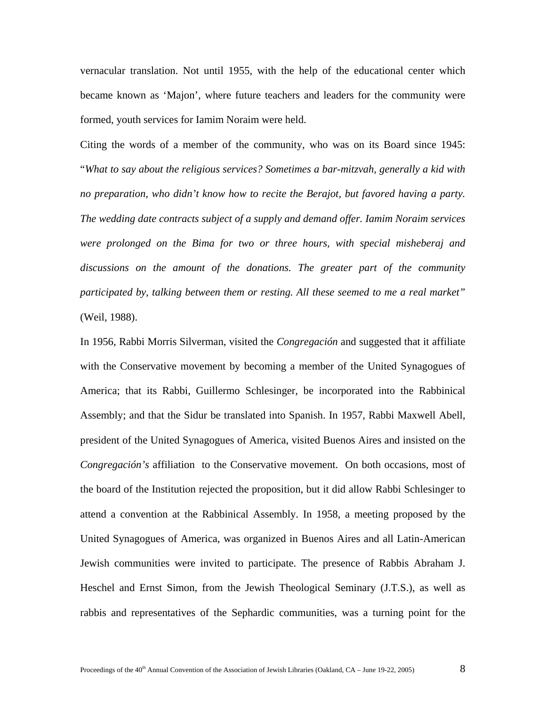vernacular translation. Not until 1955, with the help of the educational center which became known as 'Majon', where future teachers and leaders for the community were formed, youth services for Iamim Noraim were held.

Citing the words of a member of the community, who was on its Board since 1945: "*What to say about the religious services? Sometimes a bar-mitzvah, generally a kid with no preparation, who didn't know how to recite the Berajot, but favored having a party. The wedding date contracts subject of a supply and demand offer. Iamim Noraim services were prolonged on the Bima for two or three hours, with special misheberaj and discussions on the amount of the donations. The greater part of the community participated by, talking between them or resting. All these seemed to me a real market"* (Weil, 1988).

In 1956, Rabbi Morris Silverman, visited the *Congregación* and suggested that it affiliate with the Conservative movement by becoming a member of the United Synagogues of America; that its Rabbi, Guillermo Schlesinger, be incorporated into the Rabbinical Assembly; and that the Sidur be translated into Spanish. In 1957, Rabbi Maxwell Abell, president of the United Synagogues of America, visited Buenos Aires and insisted on the *Congregación's* affiliation to the Conservative movement. On both occasions, most of the board of the Institution rejected the proposition, but it did allow Rabbi Schlesinger to attend a convention at the Rabbinical Assembly. In 1958, a meeting proposed by the United Synagogues of America, was organized in Buenos Aires and all Latin-American Jewish communities were invited to participate. The presence of Rabbis Abraham J. Heschel and Ernst Simon, from the Jewish Theological Seminary (J.T.S.), as well as rabbis and representatives of the Sephardic communities, was a turning point for the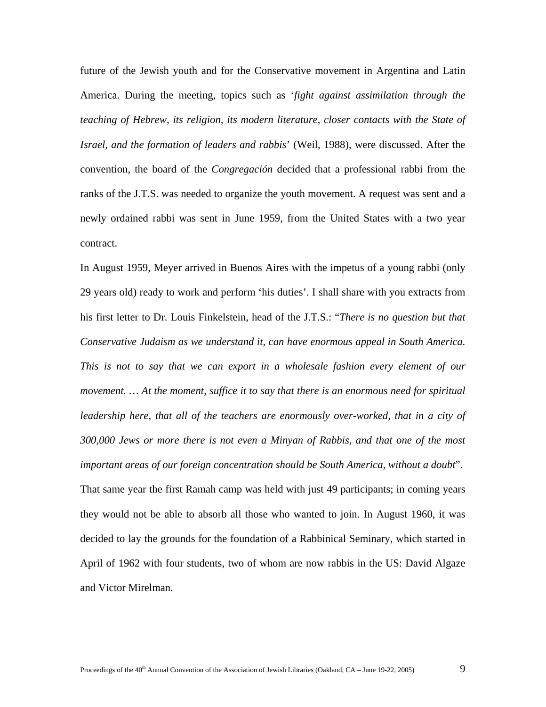future of the Jewish youth and for the Conservative movement in Argentina and Latin America. During the meeting, topics such as '*fight against assimilation through the teaching of Hebrew, its religion, its modern literature, closer contacts with the State of Israel, and the formation of leaders and rabbis*' (Weil, 1988), were discussed. After the convention, the board of the *Congregación* decided that a professional rabbi from the ranks of the J.T.S. was needed to organize the youth movement. A request was sent and a newly ordained rabbi was sent in June 1959, from the United States with a two year contract.

In August 1959, Meyer arrived in Buenos Aires with the impetus of a young rabbi (only 29 years old) ready to work and perform 'his duties'. I shall share with you extracts from his first letter to Dr. Louis Finkelstein, head of the J.T.S.: "*There is no question but that Conservative Judaism as we understand it, can have enormous appeal in South America. This is not to say that we can export in a wholesale fashion every element of our movement. … At the moment, suffice it to say that there is an enormous need for spiritual*  leadership here, that all of the teachers are enormously over-worked, that in a city of *300,000 Jews or more there is not even a Minyan of Rabbis, and that one of the most important areas of our foreign concentration should be South America, without a doubt*". That same year the first Ramah camp was held with just 49 participants; in coming years they would not be able to absorb all those who wanted to join. In August 1960, it was decided to lay the grounds for the foundation of a Rabbinical Seminary, which started in April of 1962 with four students, two of whom are now rabbis in the US: David Algaze and Victor Mirelman.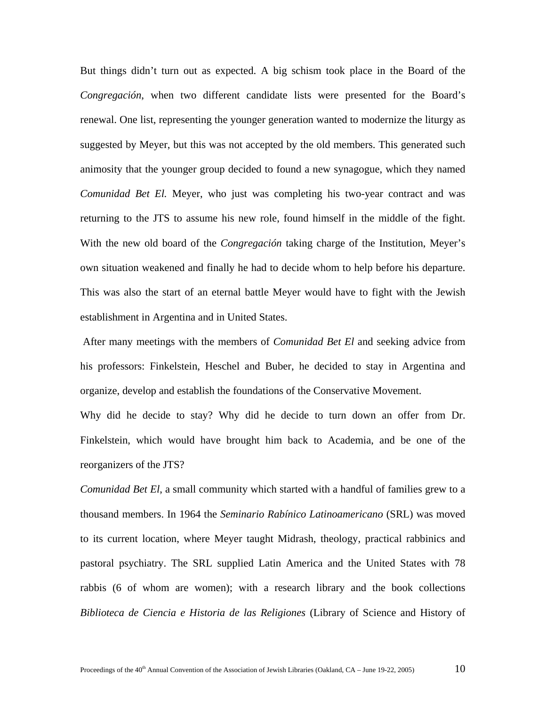But things didn't turn out as expected. A big schism took place in the Board of the *Congregación*, when two different candidate lists were presented for the Board's renewal. One list, representing the younger generation wanted to modernize the liturgy as suggested by Meyer, but this was not accepted by the old members. This generated such animosity that the younger group decided to found a new synagogue, which they named *Comunidad Bet El.* Meyer, who just was completing his two-year contract and was returning to the JTS to assume his new role, found himself in the middle of the fight. With the new old board of the *Congregación* taking charge of the Institution, Meyer's own situation weakened and finally he had to decide whom to help before his departure. This was also the start of an eternal battle Meyer would have to fight with the Jewish establishment in Argentina and in United States.

After many meetings with the members of *Comunidad Bet El* and seeking advice from his professors: Finkelstein, Heschel and Buber, he decided to stay in Argentina and organize, develop and establish the foundations of the Conservative Movement.

Why did he decide to stay? Why did he decide to turn down an offer from Dr. Finkelstein, which would have brought him back to Academia, and be one of the reorganizers of the JTS?

*Comunidad Bet El*, a small community which started with a handful of families grew to a thousand members. In 1964 the *Seminario Rabínico Latinoamericano* (SRL) was moved to its current location, where Meyer taught Midrash, theology, practical rabbinics and pastoral psychiatry. The SRL supplied Latin America and the United States with 78 rabbis (6 of whom are women); with a research library and the book collections *Biblioteca de Ciencia e Historia de las Religiones* (Library of Science and History of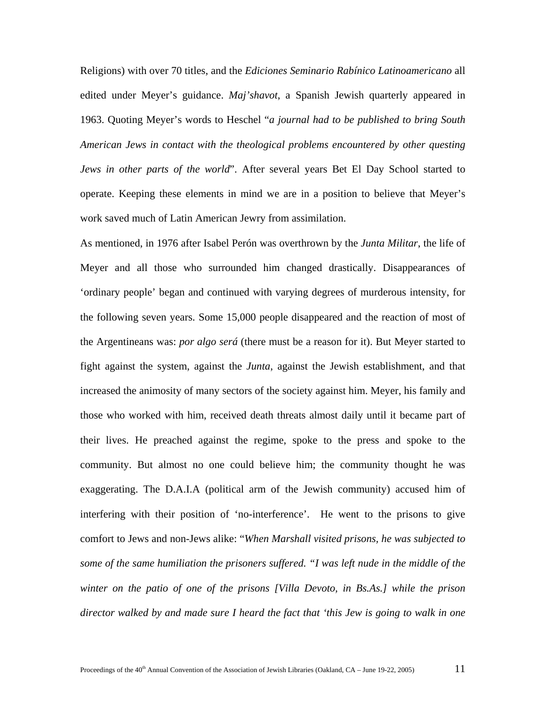Religions) with over 70 titles, and the *Ediciones Seminario Rabínico Latinoamericano* all edited under Meyer's guidance. *Maj'shavot*, a Spanish Jewish quarterly appeared in 1963. Quoting Meyer's words to Heschel "*a journal had to be published to bring South American Jews in contact with the theological problems encountered by other questing Jews in other parts of the world*". After several years Bet El Day School started to operate. Keeping these elements in mind we are in a position to believe that Meyer's work saved much of Latin American Jewry from assimilation.

As mentioned, in 1976 after Isabel Perón was overthrown by the *Junta Militar*, the life of Meyer and all those who surrounded him changed drastically. Disappearances of 'ordinary people' began and continued with varying degrees of murderous intensity, for the following seven years. Some 15,000 people disappeared and the reaction of most of the Argentineans was: *por algo será* (there must be a reason for it). But Meyer started to fight against the system, against the *Junta*, against the Jewish establishment, and that increased the animosity of many sectors of the society against him. Meyer, his family and those who worked with him, received death threats almost daily until it became part of their lives. He preached against the regime, spoke to the press and spoke to the community. But almost no one could believe him; the community thought he was exaggerating. The D.A.I.A (political arm of the Jewish community) accused him of interfering with their position of 'no-interference'. He went to the prisons to give comfort to Jews and non-Jews alike: "*When Marshall visited prisons, he was subjected to some of the same humiliation the prisoners suffered. "I was left nude in the middle of the winter on the patio of one of the prisons [Villa Devoto, in Bs.As.] while the prison director walked by and made sure I heard the fact that 'this Jew is going to walk in one*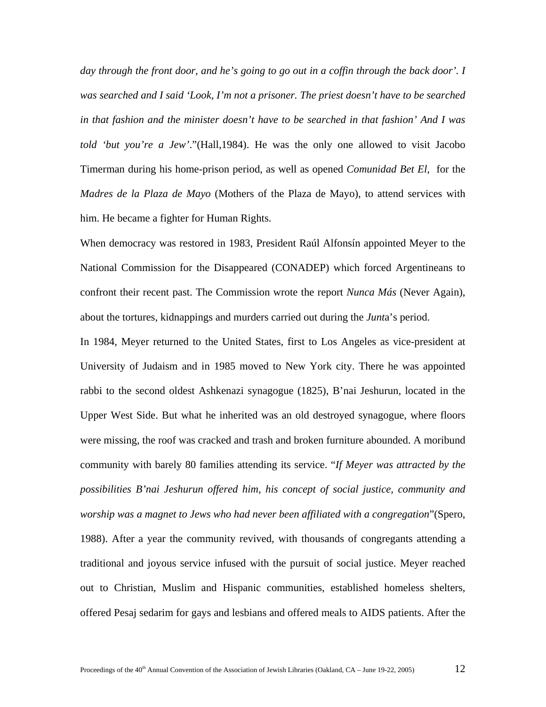*day through the front door, and he's going to go out in a coffin through the back door'. I was searched and I said 'Look, I'm not a prisoner. The priest doesn't have to be searched in that fashion and the minister doesn't have to be searched in that fashion' And I was told 'but you're a Jew'*."(Hall,1984). He was the only one allowed to visit Jacobo Timerman during his home-prison period, as well as opened *Comunidad Bet El*, for the *Madres de la Plaza de Mayo* (Mothers of the Plaza de Mayo), to attend services with him. He became a fighter for Human Rights.

When democracy was restored in 1983, President Raúl Alfonsín appointed Meyer to the National Commission for the Disappeared (CONADEP) which forced Argentineans to confront their recent past. The Commission wrote the report *Nunca Más* (Never Again), about the tortures, kidnappings and murders carried out during the *Junt*a's period.

In 1984, Meyer returned to the United States, first to Los Angeles as vice-president at University of Judaism and in 1985 moved to New York city. There he was appointed rabbi to the second oldest Ashkenazi synagogue (1825), B'nai Jeshurun, located in the Upper West Side. But what he inherited was an old destroyed synagogue, where floors were missing, the roof was cracked and trash and broken furniture abounded. A moribund community with barely 80 families attending its service. "*If Meyer was attracted by the possibilities B'nai Jeshurun offered him, his concept of social justice, community and worship was a magnet to Jews who had never been affiliated with a congregation*"(Spero, 1988). After a year the community revived, with thousands of congregants attending a traditional and joyous service infused with the pursuit of social justice. Meyer reached out to Christian, Muslim and Hispanic communities, established homeless shelters, offered Pesaj sedarim for gays and lesbians and offered meals to AIDS patients. After the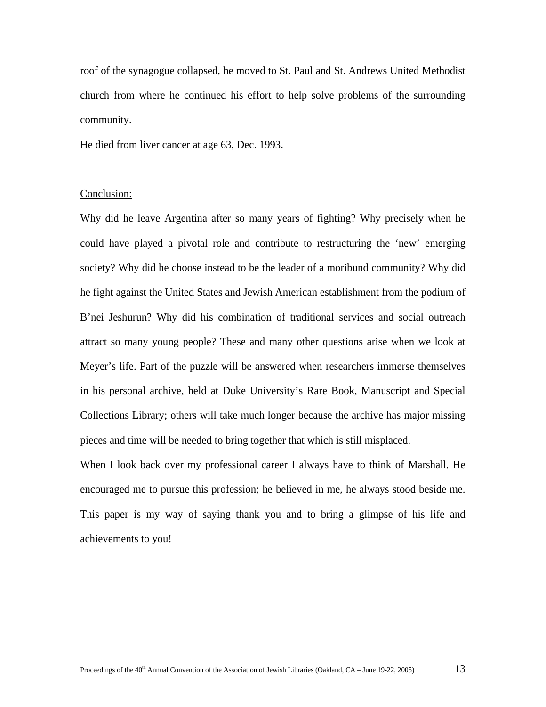roof of the synagogue collapsed, he moved to St. Paul and St. Andrews United Methodist church from where he continued his effort to help solve problems of the surrounding community.

He died from liver cancer at age 63, Dec. 1993.

## Conclusion:

Why did he leave Argentina after so many years of fighting? Why precisely when he could have played a pivotal role and contribute to restructuring the 'new' emerging society? Why did he choose instead to be the leader of a moribund community? Why did he fight against the United States and Jewish American establishment from the podium of B'nei Jeshurun? Why did his combination of traditional services and social outreach attract so many young people? These and many other questions arise when we look at Meyer's life. Part of the puzzle will be answered when researchers immerse themselves in his personal archive, held at Duke University's Rare Book, Manuscript and Special Collections Library; others will take much longer because the archive has major missing pieces and time will be needed to bring together that which is still misplaced.

When I look back over my professional career I always have to think of Marshall. He encouraged me to pursue this profession; he believed in me, he always stood beside me. This paper is my way of saying thank you and to bring a glimpse of his life and achievements to you!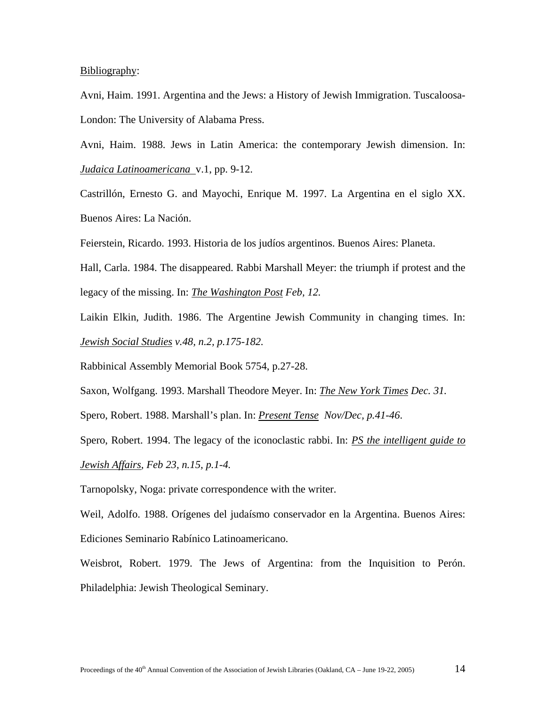### Bibliography:

Avni, Haim. 1991. Argentina and the Jews: a History of Jewish Immigration. Tuscaloosa-London: The University of Alabama Press.

Avni, Haim. 1988. Jews in Latin America: the contemporary Jewish dimension. In: *Judaica Latinoamericana* v.1, pp. 9-12.

Castrillón, Ernesto G. and Mayochi, Enrique M. 1997. La Argentina en el siglo XX. Buenos Aires: La Nación.

Feierstein, Ricardo. 1993. Historia de los judíos argentinos. Buenos Aires: Planeta.

Hall, Carla. 1984. The disappeared. Rabbi Marshall Meyer: the triumph if protest and the legacy of the missing. In: *The Washington Post Feb, 12.* 

Laikin Elkin, Judith. 1986. The Argentine Jewish Community in changing times. In: *Jewish Social Studies v.48, n.2, p.175-182.* 

Rabbinical Assembly Memorial Book 5754, p.27-28.

Saxon, Wolfgang. 1993. Marshall Theodore Meyer. In: *The New York Times Dec. 31.* 

Spero, Robert. 1988. Marshall's plan. In: *Present Tense Nov/Dec, p.41-46*.

Spero, Robert. 1994. The legacy of the iconoclastic rabbi. In: *PS the intelligent guide to*

*Jewish Affairs, Feb 23, n.15, p.1-4.* 

Tarnopolsky, Noga: private correspondence with the writer.

Weil, Adolfo. 1988. Orígenes del judaísmo conservador en la Argentina. Buenos Aires: Ediciones Seminario Rabínico Latinoamericano.

Weisbrot, Robert. 1979. The Jews of Argentina: from the Inquisition to Perón. Philadelphia: Jewish Theological Seminary.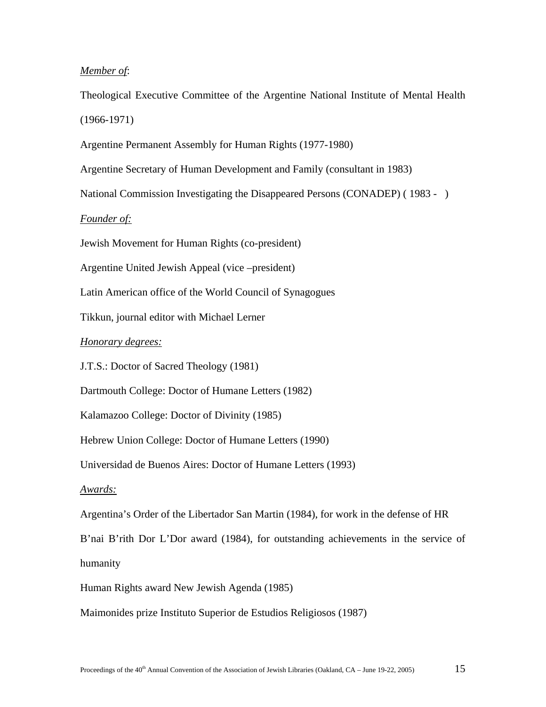## *Member of*:

Theological Executive Committee of the Argentine National Institute of Mental Health (1966-1971)

Argentine Permanent Assembly for Human Rights (1977-1980)

Argentine Secretary of Human Development and Family (consultant in 1983)

National Commission Investigating the Disappeared Persons (CONADEP) ( 1983 - )

# *Founder of:*

Jewish Movement for Human Rights (co-president)

Argentine United Jewish Appeal (vice –president)

Latin American office of the World Council of Synagogues

Tikkun, journal editor with Michael Lerner

### *Honorary degrees:*

J.T.S.: Doctor of Sacred Theology (1981)

Dartmouth College: Doctor of Humane Letters (1982)

Kalamazoo College: Doctor of Divinity (1985)

Hebrew Union College: Doctor of Humane Letters (1990)

Universidad de Buenos Aires: Doctor of Humane Letters (1993)

#### *Awards:*

Argentina's Order of the Libertador San Martin (1984), for work in the defense of HR

B'nai B'rith Dor L'Dor award (1984), for outstanding achievements in the service of humanity

Human Rights award New Jewish Agenda (1985)

Maimonides prize Instituto Superior de Estudios Religiosos (1987)